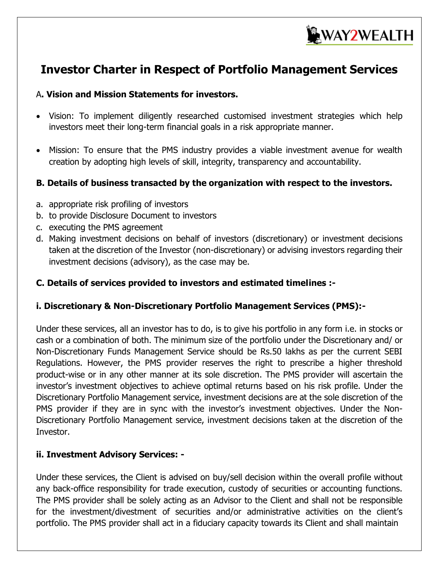

# **Investor Charter in Respect of Portfolio Management Services**

#### A**. Vision and Mission Statements for investors.**

- Vision: To implement diligently researched customised investment strategies which help investors meet their long-term financial goals in a risk appropriate manner.
- Mission: To ensure that the PMS industry provides a viable investment avenue for wealth creation by adopting high levels of skill, integrity, transparency and accountability.

#### **B. Details of business transacted by the organization with respect to the investors.**

- a. appropriate risk profiling of investors
- b. to provide Disclosure Document to investors
- c. executing the PMS agreement
- d. Making investment decisions on behalf of investors (discretionary) or investment decisions taken at the discretion of the Investor (non-discretionary) or advising investors regarding their investment decisions (advisory), as the case may be.

#### **C. Details of services provided to investors and estimated timelines :-**

#### **i. Discretionary & Non-Discretionary Portfolio Management Services (PMS):-**

Under these services, all an investor has to do, is to give his portfolio in any form i.e. in stocks or cash or a combination of both. The minimum size of the portfolio under the Discretionary and/ or Non-Discretionary Funds Management Service should be Rs.50 lakhs as per the current SEBI Regulations. However, the PMS provider reserves the right to prescribe a higher threshold product-wise or in any other manner at its sole discretion. The PMS provider will ascertain the investor's investment objectives to achieve optimal returns based on his risk profile. Under the Discretionary Portfolio Management service, investment decisions are at the sole discretion of the PMS provider if they are in sync with the investor's investment objectives. Under the Non-Discretionary Portfolio Management service, investment decisions taken at the discretion of the Investor.

#### **ii. Investment Advisory Services: -**

Under these services, the Client is advised on buy/sell decision within the overall profile without any back-office responsibility for trade execution, custody of securities or accounting functions. The PMS provider shall be solely acting as an Advisor to the Client and shall not be responsible for the investment/divestment of securities and/or administrative activities on the client's portfolio. The PMS provider shall act in a fiduciary capacity towards its Client and shall maintain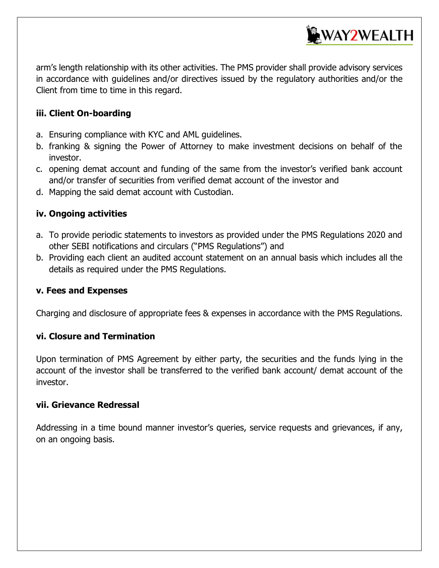

arm's length relationship with its other activities. The PMS provider shall provide advisory services in accordance with guidelines and/or directives issued by the regulatory authorities and/or the Client from time to time in this regard.

#### **iii. Client On-boarding**

- a. Ensuring compliance with KYC and AML guidelines.
- b. franking & signing the Power of Attorney to make investment decisions on behalf of the investor.
- c. opening demat account and funding of the same from the investor's verified bank account and/or transfer of securities from verified demat account of the investor and
- d. Mapping the said demat account with Custodian.

#### **iv. Ongoing activities**

- a. To provide periodic statements to investors as provided under the PMS Regulations 2020 and other SEBI notifications and circulars ("PMS Regulations") and
- b. Providing each client an audited account statement on an annual basis which includes all the details as required under the PMS Regulations.

#### **v. Fees and Expenses**

Charging and disclosure of appropriate fees & expenses in accordance with the PMS Regulations.

#### **vi. Closure and Termination**

Upon termination of PMS Agreement by either party, the securities and the funds lying in the account of the investor shall be transferred to the verified bank account/ demat account of the investor.

#### **vii. Grievance Redressal**

Addressing in a time bound manner investor's queries, service requests and grievances, if any, on an ongoing basis.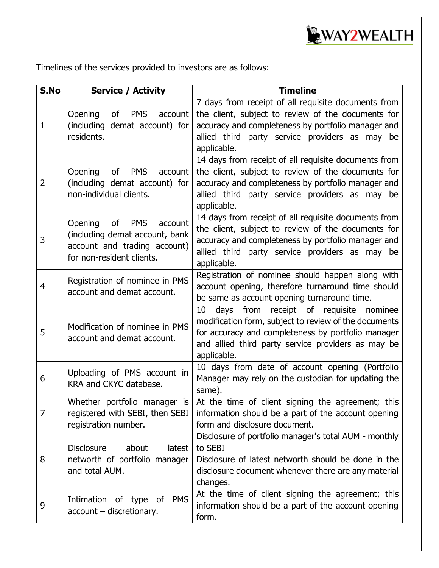

Timelines of the services provided to investors are as follows:

| S.No           | <b>Service / Activity</b>                                                                                                             | <b>Timeline</b>                                                                                                                                                                                                                        |  |  |  |
|----------------|---------------------------------------------------------------------------------------------------------------------------------------|----------------------------------------------------------------------------------------------------------------------------------------------------------------------------------------------------------------------------------------|--|--|--|
| 1              | Opening<br><b>of</b><br><b>PMS</b><br>account<br>(including demat account) for<br>residents.                                          | 7 days from receipt of all requisite documents from<br>the client, subject to review of the documents for<br>accuracy and completeness by portfolio manager and<br>allied third party service providers as may be<br>applicable.       |  |  |  |
| $\overline{2}$ | Opening<br><b>of</b><br><b>PMS</b><br>account<br>(including demat account) for<br>non-individual clients.                             | 14 days from receipt of all requisite documents from<br>the client, subject to review of the documents for<br>accuracy and completeness by portfolio manager and<br>allied third party service providers as may be<br>applicable.      |  |  |  |
| 3              | Opening<br>of<br><b>PMS</b><br>account<br>(including demat account, bank<br>account and trading account)<br>for non-resident clients. | 14 days from receipt of all requisite documents from<br>the client, subject to review of the documents for<br>accuracy and completeness by portfolio manager and<br>allied third party service providers as may be<br>applicable.      |  |  |  |
| 4              | Registration of nominee in PMS<br>account and demat account.                                                                          | Registration of nominee should happen along with<br>account opening, therefore turnaround time should<br>be same as account opening turnaround time.                                                                                   |  |  |  |
| 5              | Modification of nominee in PMS<br>account and demat account.                                                                          | from<br>receipt of requisite nominee<br>10<br>days<br>modification form, subject to review of the documents<br>for accuracy and completeness by portfolio manager<br>and allied third party service providers as may be<br>applicable. |  |  |  |
| 6              | Uploading of PMS account in<br>KRA and CKYC database.                                                                                 | 10 days from date of account opening (Portfolio<br>Manager may rely on the custodian for updating the<br>same).                                                                                                                        |  |  |  |
| $\overline{7}$ | Whether portfolio manager is<br>registered with SEBI, then SEBI<br>registration number.                                               | At the time of client signing the agreement; this<br>information should be a part of the account opening<br>form and disclosure document.                                                                                              |  |  |  |
| 8              | <b>Disclosure</b><br>latest<br>about<br>networth of portfolio manager<br>and total AUM.                                               | Disclosure of portfolio manager's total AUM - monthly<br>to SEBI<br>Disclosure of latest networth should be done in the<br>disclosure document whenever there are any material<br>changes.                                             |  |  |  |
| 9              | <b>PMS</b><br>Intimation of type of<br>$account$ - discretionary.                                                                     | At the time of client signing the agreement; this<br>information should be a part of the account opening<br>form.                                                                                                                      |  |  |  |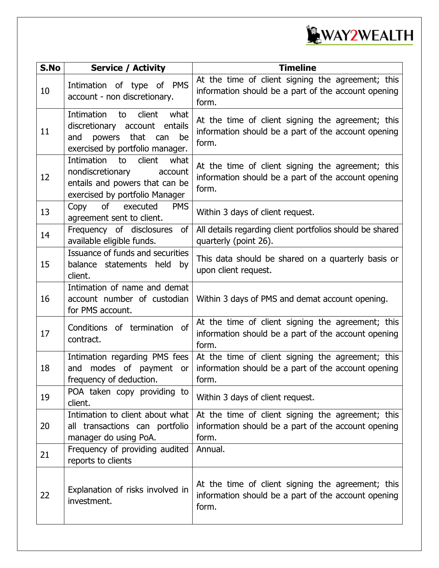

| S.No | <b>Service / Activity</b>                                                                                                              | <b>Timeline</b>                                                                                                   |  |  |  |
|------|----------------------------------------------------------------------------------------------------------------------------------------|-------------------------------------------------------------------------------------------------------------------|--|--|--|
| 10   | Intimation of type of PMS<br>account - non discretionary.                                                                              | At the time of client signing the agreement; this<br>information should be a part of the account opening<br>form. |  |  |  |
| 11   | Intimation<br>to<br>client<br>what<br>discretionary account entails<br>powers that can<br>and<br>be<br>exercised by portfolio manager. | At the time of client signing the agreement; this<br>information should be a part of the account opening<br>form. |  |  |  |
| 12   | Intimation<br>client<br>what<br>to<br>nondiscretionary<br>account<br>entails and powers that can be<br>exercised by portfolio Manager  | At the time of client signing the agreement; this<br>information should be a part of the account opening<br>form. |  |  |  |
| 13   | Copy<br>of<br>executed<br><b>PMS</b><br>agreement sent to client.                                                                      | Within 3 days of client request.                                                                                  |  |  |  |
| 14   | Frequency of disclosures<br>of<br>available eligible funds.                                                                            | All details regarding client portfolios should be shared<br>quarterly (point 26).                                 |  |  |  |
| 15   | Issuance of funds and securities<br>balance statements held<br>by<br>client.                                                           | This data should be shared on a quarterly basis or<br>upon client request.                                        |  |  |  |
| 16   | Intimation of name and demat<br>account number of custodian<br>for PMS account.                                                        | Within 3 days of PMS and demat account opening.                                                                   |  |  |  |
| 17   | Conditions of termination of<br>contract.                                                                                              | At the time of client signing the agreement; this<br>information should be a part of the account opening<br>form. |  |  |  |
| 18   | Intimation regarding PMS fees<br>modes of payment or<br>and<br>frequency of deduction.                                                 | At the time of client signing the agreement; this<br>information should be a part of the account opening<br>form. |  |  |  |
| 19   | POA taken copy providing to<br>client.                                                                                                 | Within 3 days of client request.                                                                                  |  |  |  |
| 20   | Intimation to client about what<br>all transactions can portfolio<br>manager do using PoA.                                             | At the time of client signing the agreement; this<br>information should be a part of the account opening<br>form. |  |  |  |
| 21   | Frequency of providing audited<br>reports to clients                                                                                   | Annual.                                                                                                           |  |  |  |
| 22   | Explanation of risks involved in<br>investment.                                                                                        | At the time of client signing the agreement; this<br>information should be a part of the account opening<br>form. |  |  |  |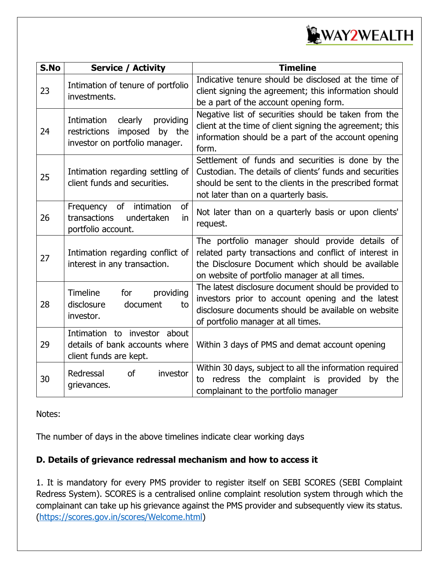

| S.No | <b>Service / Activity</b>                                                                                 | <b>Timeline</b>                                                                                                                                                                                                 |  |  |  |
|------|-----------------------------------------------------------------------------------------------------------|-----------------------------------------------------------------------------------------------------------------------------------------------------------------------------------------------------------------|--|--|--|
| 23   | Intimation of tenure of portfolio<br>investments.                                                         | Indicative tenure should be disclosed at the time of<br>client signing the agreement; this information should<br>be a part of the account opening form.                                                         |  |  |  |
| 24   | Intimation<br>clearly<br>providing<br>restrictions<br>imposed<br>by the<br>investor on portfolio manager. | Negative list of securities should be taken from the<br>client at the time of client signing the agreement; this<br>information should be a part of the account opening<br>form.                                |  |  |  |
| 25   | Intimation regarding settling of<br>client funds and securities.                                          | Settlement of funds and securities is done by the<br>Custodian. The details of clients' funds and securities<br>should be sent to the clients in the prescribed format<br>not later than on a quarterly basis.  |  |  |  |
| 26   | of<br>Frequency<br>of<br>intimation<br>undertaken<br>transactions<br>in<br>portfolio account.             | Not later than on a quarterly basis or upon clients'<br>request.                                                                                                                                                |  |  |  |
| 27   | Intimation regarding conflict of<br>interest in any transaction.                                          | The portfolio manager should provide details of<br>related party transactions and conflict of interest in<br>the Disclosure Document which should be available<br>on website of portfolio manager at all times. |  |  |  |
| 28   | providing<br>Timeline<br>for<br>disclosure<br>document<br>to<br>investor.                                 | The latest disclosure document should be provided to<br>investors prior to account opening and the latest<br>disclosure documents should be available on website<br>of portfolio manager at all times.          |  |  |  |
| 29   | Intimation to investor about<br>details of bank accounts where<br>client funds are kept.                  | Within 3 days of PMS and demat account opening                                                                                                                                                                  |  |  |  |
| 30   | <sub>of</sub><br>Redressal<br>investor<br>grievances.                                                     | Within 30 days, subject to all the information required<br>redress the complaint is provided<br>by the<br>to<br>complainant to the portfolio manager                                                            |  |  |  |

Notes:

The number of days in the above timelines indicate clear working days

### **D. Details of grievance redressal mechanism and how to access it**

1. It is mandatory for every PMS provider to register itself on SEBI SCORES (SEBI Complaint Redress System). SCORES is a centralised online complaint resolution system through which the complainant can take up his grievance against the PMS provider and subsequently view its status. [\(https://scores.gov.in/scores/Welcome.html\)](https://scores.gov.in/scores/Welcome.html)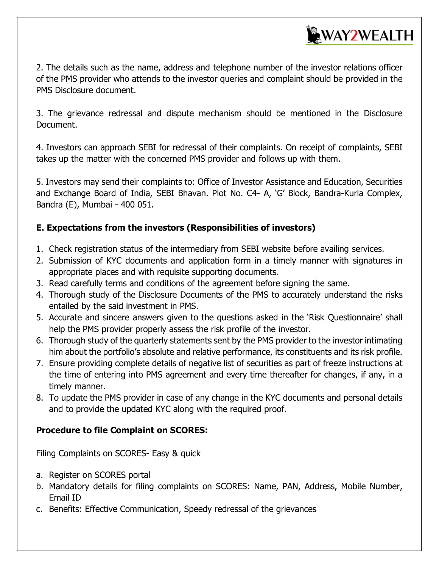

2. The details such as the name, address and telephone number of the investor relations officer of the PMS provider who attends to the investor queries and complaint should be provided in the PMS Disclosure document.

3. The grievance redressal and dispute mechanism should be mentioned in the Disclosure Document.

4. Investors can approach SEBI for redressal of their complaints. On receipt of complaints, SEBI takes up the matter with the concerned PMS provider and follows up with them.

5. Investors may send their complaints to: Office of Investor Assistance and Education, Securities and Exchange Board of India, SEBI Bhavan. Plot No. C4- A, 'G' Block, Bandra-Kurla Complex, Bandra (E), Mumbai - 400 051.

### **E. Expectations from the investors (Responsibilities of investors)**

- 1. Check registration status of the intermediary from SEBI website before availing services.
- 2. Submission of KYC documents and application form in a timely manner with signatures in appropriate places and with requisite supporting documents.
- 3. Read carefully terms and conditions of the agreement before signing the same.
- 4. Thorough study of the Disclosure Documents of the PMS to accurately understand the risks entailed by the said investment in PMS.
- 5. Accurate and sincere answers given to the questions asked in the 'Risk Questionnaire' shall help the PMS provider properly assess the risk profile of the investor.
- 6. Thorough study of the quarterly statements sent by the PMS provider to the investor intimating him about the portfolio's absolute and relative performance, its constituents and its risk profile.
- 7. Ensure providing complete details of negative list of securities as part of freeze instructions at the time of entering into PMS agreement and every time thereafter for changes, if any, in a timely manner.
- 8. To update the PMS provider in case of any change in the KYC documents and personal details and to provide the updated KYC along with the required proof.

#### **Procedure to file Complaint on SCORES:**

Filing Complaints on SCORES- Easy & quick

- a. Register on SCORES portal
- b. Mandatory details for filing complaints on SCORES: Name, PAN, Address, Mobile Number, Email ID
- c. Benefits: Effective Communication, Speedy redressal of the grievances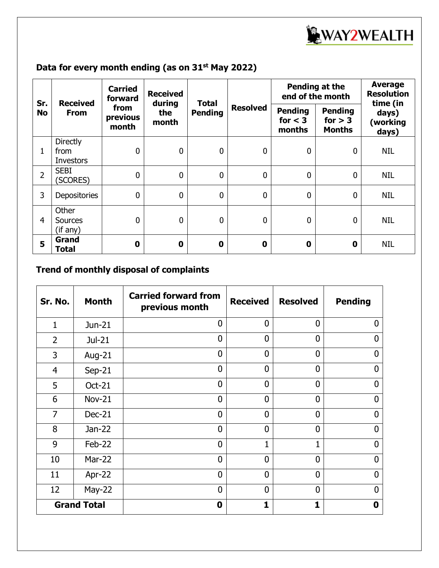

## **Data for every month ending (as on 31st May 2022)**

| Sr.<br><b>No</b> | <b>Received</b><br><b>From</b>       | <b>Carried</b><br>forward<br>from<br>previous<br>month | <b>Received</b><br>during<br>the<br>month | <b>Total</b><br><b>Pending</b> | <b>Resolved</b> | Pending at the<br>end of the month    |                                              | <b>Average</b><br><b>Resolution</b><br>time (in |
|------------------|--------------------------------------|--------------------------------------------------------|-------------------------------------------|--------------------------------|-----------------|---------------------------------------|----------------------------------------------|-------------------------------------------------|
|                  |                                      |                                                        |                                           |                                |                 | <b>Pending</b><br>for $<$ 3<br>months | <b>Pending</b><br>for $> 3$<br><b>Months</b> | days)<br>(working<br>days)                      |
|                  | <b>Directly</b><br>from<br>Investors | $\mathbf 0$                                            | $\overline{0}$                            | $\mathbf 0$                    | $\overline{0}$  | $\mathbf 0$                           | $\mathbf 0$                                  | NIL                                             |
| $\overline{2}$   | <b>SEBI</b><br>(SCORES)              | $\mathbf 0$                                            | $\mathbf 0$                               | $\mathbf 0$                    | $\overline{0}$  | $\mathbf 0$                           | $\mathbf 0$                                  | <b>NIL</b>                                      |
| 3                | <b>Depositories</b>                  | $\mathbf 0$                                            | $\mathbf 0$                               | $\mathbf 0$                    | $\overline{0}$  | $\mathbf 0$                           | $\mathbf 0$                                  | NIL                                             |
| $\overline{4}$   | Other<br><b>Sources</b><br>(if any)  | $\mathbf 0$                                            | $\overline{0}$                            | $\mathbf{0}$                   | $\Omega$        | $\mathbf 0$                           | $\mathbf{0}$                                 | NIL                                             |
| 5                | Grand<br>Total                       | $\bf{0}$                                               | $\mathbf 0$                               | $\mathbf 0$                    | 0               | $\mathbf 0$                           | 0                                            | <b>NIL</b>                                      |

## **Trend of monthly disposal of complaints**

| Sr. No.            | <b>Month</b>  | <b>Carried forward from</b><br>previous month | <b>Received</b> | <b>Resolved</b> | <b>Pending</b> |
|--------------------|---------------|-----------------------------------------------|-----------------|-----------------|----------------|
| $\mathbf{1}$       | Jun-21        | $\overline{0}$                                | $\overline{0}$  | $\overline{0}$  | $\Omega$       |
| $\overline{2}$     | Jul-21        | $\overline{0}$                                | $\overline{0}$  | $\overline{0}$  | 0              |
| 3                  | Aug-21        | $\overline{0}$                                | $\overline{0}$  | $\overline{0}$  | $\Omega$       |
| 4                  | $Sep-21$      | $\overline{0}$                                | $\overline{0}$  | $\overline{0}$  | N              |
| 5                  | Oct-21        | $\overline{0}$                                | $\overline{0}$  | $\overline{0}$  | $\Omega$       |
| 6                  | <b>Nov-21</b> | $\overline{0}$                                | $\overline{0}$  | $\mathbf 0$     | U              |
| $\overline{7}$     | $Dec-21$      | $\overline{0}$                                | $\overline{0}$  | $\overline{0}$  | $\mathbf{0}$   |
| 8                  | $Jan-22$      | $\overline{0}$                                | $\overline{0}$  | $\overline{0}$  | U              |
| 9                  | Feb-22        | $\overline{0}$                                | $\mathbf{1}$    | 1               | $\mathbf{0}$   |
| 10                 | <b>Mar-22</b> | $\Omega$                                      | $\Omega$        | $\Omega$        | $\Omega$       |
| 11                 | Apr-22        | $\overline{0}$                                | $\overline{0}$  | $\overline{0}$  | $\mathbf{0}$   |
| 12                 | $May-22$      | $\overline{0}$                                | $\Omega$        | $\Omega$        | $\Omega$       |
| <b>Grand Total</b> |               | $\mathbf 0$                                   | $\mathbf{1}$    | 1               | 0              |